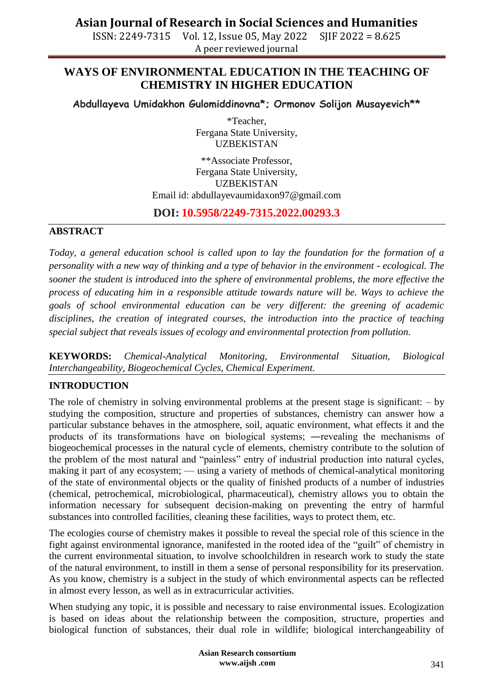**Asian Journal of Research in Social Sciences and Humanities**

ISSN: 2249-7315 Vol. 12, Issue 05, May 2022 SJIF 2022 = 8.625 A peer reviewed journal

## **WAYS OF ENVIRONMENTAL EDUCATION IN THE TEACHING OF CHEMISTRY IN HIGHER EDUCATION**

**Abdullayeva Umidakhon Gulomiddinovna\*; Ormonov Solijon Musayevich\*\***

\*Teacher, Fergana State University, UZBEKISTAN

\*\*Associate Professor, Fergana State University, UZBEKISTAN Email id: [abdullayevaumidaxon97@gmail.com](mailto:abdullayevaumidaxon97@gmail.com)

### **DOI: 10.5958/2249-7315.2022.00293.3**

#### **ABSTRACT**

*Today, a general education school is called upon to lay the foundation for the formation of a personality with a new way of thinking and a type of behavior in the environment - ecological. The sooner the student is introduced into the sphere of environmental problems, the more effective the process of educating him in a responsible attitude towards nature will be. Ways to achieve the goals of school environmental education can be very different: the greening of academic disciplines, the creation of integrated courses, the introduction into the practice of teaching special subject that reveals issues of ecology and environmental protection from pollution.* 

**KEYWORDS:** *Chemical-Analytical Monitoring, Environmental Situation, Biological Interchangeability, Biogeochemical Cycles, Chemical Experiment.*

### **INTRODUCTION**

The role of chemistry in solving environmental problems at the present stage is significant: – by studying the composition, structure and properties of substances, chemistry can answer how a particular substance behaves in the atmosphere, soil, aquatic environment, what effects it and the products of its transformations have on biological systems; ―revealing the mechanisms of biogeochemical processes in the natural cycle of elements, chemistry contribute to the solution of the problem of the most natural and "painless" entry of industrial production into natural cycles, making it part of any ecosystem; — using a variety of methods of chemical-analytical monitoring of the state of environmental objects or the quality of finished products of a number of industries (chemical, petrochemical, microbiological, pharmaceutical), chemistry allows you to obtain the information necessary for subsequent decision-making on preventing the entry of harmful substances into controlled facilities, cleaning these facilities, ways to protect them, etc.

The ecologies course of chemistry makes it possible to reveal the special role of this science in the fight against environmental ignorance, manifested in the rooted idea of the "guilt" of chemistry in the current environmental situation, to involve schoolchildren in research work to study the state of the natural environment, to instill in them a sense of personal responsibility for its preservation. As you know, chemistry is a subject in the study of which environmental aspects can be reflected in almost every lesson, as well as in extracurricular activities.

When studying any topic, it is possible and necessary to raise environmental issues. Ecologization is based on ideas about the relationship between the composition, structure, properties and biological function of substances, their dual role in wildlife; biological interchangeability of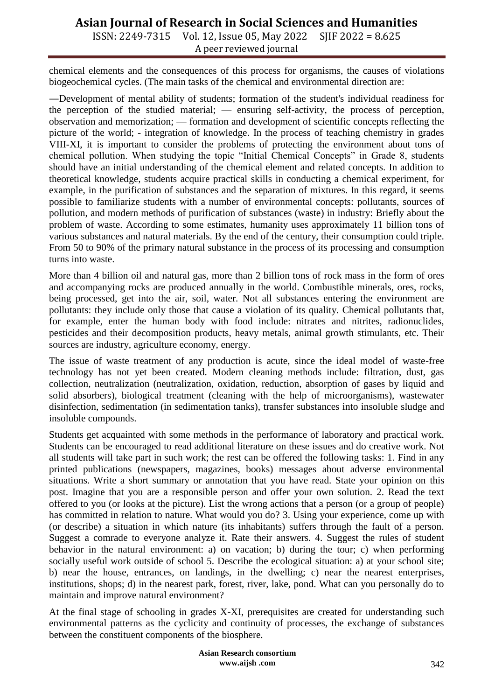# **Asian Journal of Research in Social Sciences and Humanities**

ISSN: 2249-7315 Vol. 12, Issue 05, May 2022 SJIF 2022 = 8.625 A peer reviewed journal

chemical elements and the consequences of this process for organisms, the causes of violations biogeochemical cycles. (The main tasks of the chemical and environmental direction are:

―Development of mental ability of students; formation of the student's individual readiness for the perception of the studied material; — ensuring self-activity, the process of perception, observation and memorization; — formation and development of scientific concepts reflecting the picture of the world; - integration of knowledge. In the process of teaching chemistry in grades VIII-XI, it is important to consider the problems of protecting the environment about tons of chemical pollution. When studying the topic "Initial Chemical Concepts" in Grade 8, students should have an initial understanding of the chemical element and related concepts. In addition to theoretical knowledge, students acquire practical skills in conducting a chemical experiment, for example, in the purification of substances and the separation of mixtures. In this regard, it seems possible to familiarize students with a number of environmental concepts: pollutants, sources of pollution, and modern methods of purification of substances (waste) in industry: Briefly about the problem of waste. According to some estimates, humanity uses approximately 11 billion tons of various substances and natural materials. By the end of the century, their consumption could triple. From 50 to 90% of the primary natural substance in the process of its processing and consumption turns into waste.

More than 4 billion oil and natural gas, more than 2 billion tons of rock mass in the form of ores and accompanying rocks are produced annually in the world. Combustible minerals, ores, rocks, being processed, get into the air, soil, water. Not all substances entering the environment are pollutants: they include only those that cause a violation of its quality. Chemical pollutants that, for example, enter the human body with food include: nitrates and nitrites, radionuclides, pesticides and their decomposition products, heavy metals, animal growth stimulants, etc. Their sources are industry, agriculture economy, energy.

The issue of waste treatment of any production is acute, since the ideal model of waste-free technology has not yet been created. Modern cleaning methods include: filtration, dust, gas collection, neutralization (neutralization, oxidation, reduction, absorption of gases by liquid and solid absorbers), biological treatment (cleaning with the help of microorganisms), wastewater disinfection, sedimentation (in sedimentation tanks), transfer substances into insoluble sludge and insoluble compounds.

Students get acquainted with some methods in the performance of laboratory and practical work. Students can be encouraged to read additional literature on these issues and do creative work. Not all students will take part in such work; the rest can be offered the following tasks: 1. Find in any printed publications (newspapers, magazines, books) messages about adverse environmental situations. Write a short summary or annotation that you have read. State your opinion on this post. Imagine that you are a responsible person and offer your own solution. 2. Read the text offered to you (or looks at the picture). List the wrong actions that a person (or a group of people) has committed in relation to nature. What would you do? 3. Using your experience, come up with (or describe) a situation in which nature (its inhabitants) suffers through the fault of a person. Suggest a comrade to everyone analyze it. Rate their answers. 4. Suggest the rules of student behavior in the natural environment: a) on vacation; b) during the tour; c) when performing socially useful work outside of school 5. Describe the ecological situation: a) at your school site; b) near the house, entrances, on landings, in the dwelling; c) near the nearest enterprises, institutions, shops; d) in the nearest park, forest, river, lake, pond. What can you personally do to maintain and improve natural environment?

At the final stage of schooling in grades X-XI, prerequisites are created for understanding such environmental patterns as the cyclicity and continuity of processes, the exchange of substances between the constituent components of the biosphere.

> **Asian Research consortium www.aijsh .com**